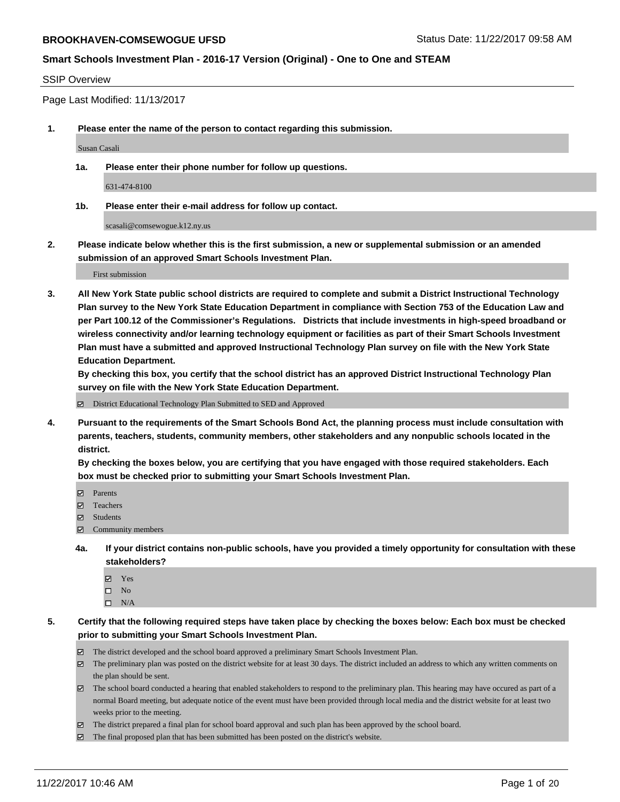#### SSIP Overview

Page Last Modified: 11/13/2017

**1. Please enter the name of the person to contact regarding this submission.**

Susan Casali

**1a. Please enter their phone number for follow up questions.**

631-474-8100

**1b. Please enter their e-mail address for follow up contact.**

scasali@comsewogue.k12.ny.us

**2. Please indicate below whether this is the first submission, a new or supplemental submission or an amended submission of an approved Smart Schools Investment Plan.**

First submission

**3. All New York State public school districts are required to complete and submit a District Instructional Technology Plan survey to the New York State Education Department in compliance with Section 753 of the Education Law and per Part 100.12 of the Commissioner's Regulations. Districts that include investments in high-speed broadband or wireless connectivity and/or learning technology equipment or facilities as part of their Smart Schools Investment Plan must have a submitted and approved Instructional Technology Plan survey on file with the New York State Education Department.** 

**By checking this box, you certify that the school district has an approved District Instructional Technology Plan survey on file with the New York State Education Department.**

District Educational Technology Plan Submitted to SED and Approved

**4. Pursuant to the requirements of the Smart Schools Bond Act, the planning process must include consultation with parents, teachers, students, community members, other stakeholders and any nonpublic schools located in the district.** 

**By checking the boxes below, you are certifying that you have engaged with those required stakeholders. Each box must be checked prior to submitting your Smart Schools Investment Plan.**

- **マ** Parents
- Teachers
- **☑** Students
- $\Xi$  Community members
- **4a. If your district contains non-public schools, have you provided a timely opportunity for consultation with these stakeholders?**
	- **Ø** Yes
	- $\square$  No
	- $\square$  N/A

**5. Certify that the following required steps have taken place by checking the boxes below: Each box must be checked prior to submitting your Smart Schools Investment Plan.**

- The district developed and the school board approved a preliminary Smart Schools Investment Plan.
- The preliminary plan was posted on the district website for at least 30 days. The district included an address to which any written comments on the plan should be sent.
- The school board conducted a hearing that enabled stakeholders to respond to the preliminary plan. This hearing may have occured as part of a normal Board meeting, but adequate notice of the event must have been provided through local media and the district website for at least two weeks prior to the meeting.
- The district prepared a final plan for school board approval and such plan has been approved by the school board.
- $\boxtimes$  The final proposed plan that has been submitted has been posted on the district's website.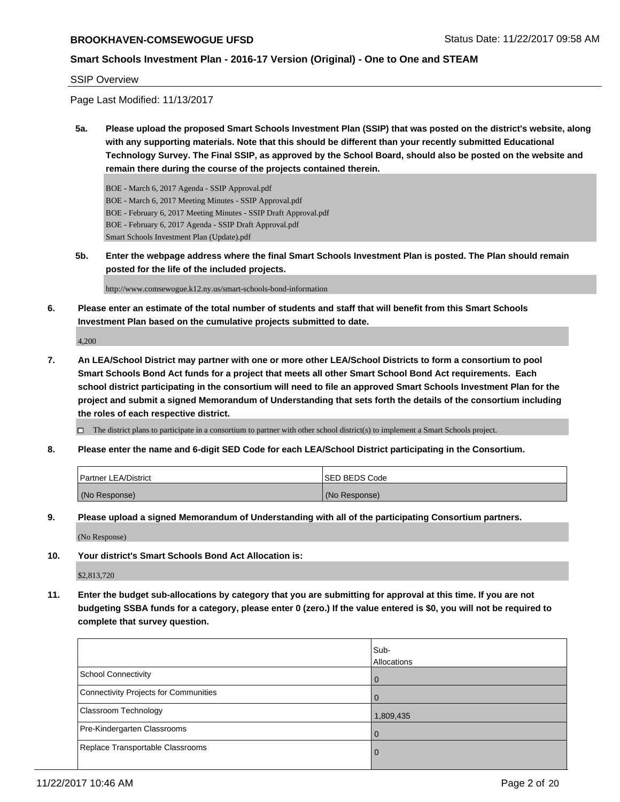#### **Smart Schools Investment Plan - 2016-17 Version (Original) - One to One and STEAM**

#### SSIP Overview

Page Last Modified: 11/13/2017

**5a. Please upload the proposed Smart Schools Investment Plan (SSIP) that was posted on the district's website, along with any supporting materials. Note that this should be different than your recently submitted Educational Technology Survey. The Final SSIP, as approved by the School Board, should also be posted on the website and remain there during the course of the projects contained therein.**

BOE - March 6, 2017 Agenda - SSIP Approval.pdf BOE - March 6, 2017 Meeting Minutes - SSIP Approval.pdf BOE - February 6, 2017 Meeting Minutes - SSIP Draft Approval.pdf BOE - February 6, 2017 Agenda - SSIP Draft Approval.pdf Smart Schools Investment Plan (Update).pdf

**5b. Enter the webpage address where the final Smart Schools Investment Plan is posted. The Plan should remain posted for the life of the included projects.**

http://www.comsewogue.k12.ny.us/smart-schools-bond-information

**6. Please enter an estimate of the total number of students and staff that will benefit from this Smart Schools Investment Plan based on the cumulative projects submitted to date.**

4,200

**7. An LEA/School District may partner with one or more other LEA/School Districts to form a consortium to pool Smart Schools Bond Act funds for a project that meets all other Smart School Bond Act requirements. Each school district participating in the consortium will need to file an approved Smart Schools Investment Plan for the project and submit a signed Memorandum of Understanding that sets forth the details of the consortium including the roles of each respective district.**

 $\Box$  The district plans to participate in a consortium to partner with other school district(s) to implement a Smart Schools project.

**8. Please enter the name and 6-digit SED Code for each LEA/School District participating in the Consortium.**

| <b>Partner LEA/District</b> | ISED BEDS Code |
|-----------------------------|----------------|
| (No Response)               | (No Response)  |

**9. Please upload a signed Memorandum of Understanding with all of the participating Consortium partners.**

(No Response)

**10. Your district's Smart Schools Bond Act Allocation is:**

\$2,813,720

**11. Enter the budget sub-allocations by category that you are submitting for approval at this time. If you are not budgeting SSBA funds for a category, please enter 0 (zero.) If the value entered is \$0, you will not be required to complete that survey question.**

|                                              | Sub-<br>Allocations |
|----------------------------------------------|---------------------|
| <b>School Connectivity</b>                   | 0                   |
| <b>Connectivity Projects for Communities</b> |                     |
| Classroom Technology                         | 1,809,435           |
| Pre-Kindergarten Classrooms                  | $\Omega$            |
| Replace Transportable Classrooms             | O                   |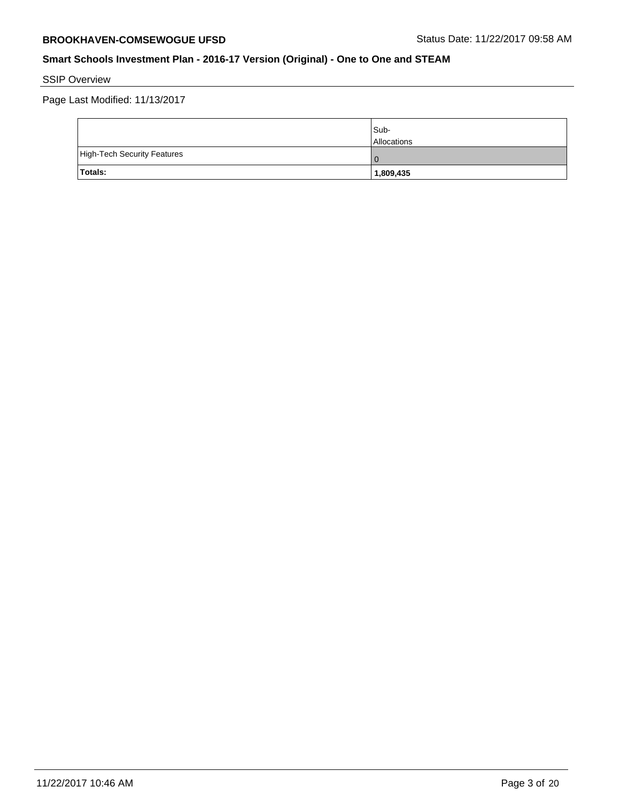SSIP Overview

Page Last Modified: 11/13/2017

|                             | Sub-<br><b>Allocations</b> |
|-----------------------------|----------------------------|
| High-Tech Security Features | 0 C                        |
| Totals:                     | 1,809,435                  |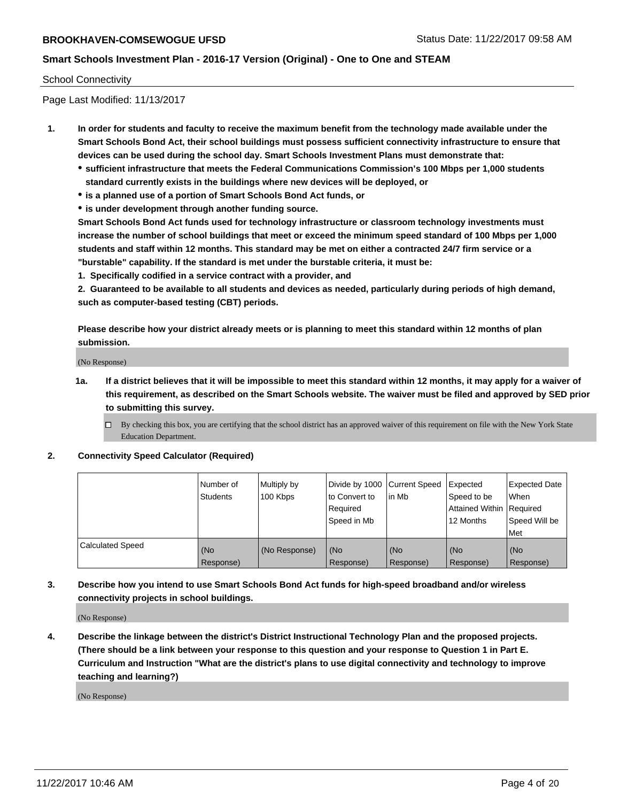#### School Connectivity

Page Last Modified: 11/13/2017

- **1. In order for students and faculty to receive the maximum benefit from the technology made available under the Smart Schools Bond Act, their school buildings must possess sufficient connectivity infrastructure to ensure that devices can be used during the school day. Smart Schools Investment Plans must demonstrate that:**
	- **sufficient infrastructure that meets the Federal Communications Commission's 100 Mbps per 1,000 students standard currently exists in the buildings where new devices will be deployed, or**
	- **is a planned use of a portion of Smart Schools Bond Act funds, or**
	- **is under development through another funding source.**

**Smart Schools Bond Act funds used for technology infrastructure or classroom technology investments must increase the number of school buildings that meet or exceed the minimum speed standard of 100 Mbps per 1,000 students and staff within 12 months. This standard may be met on either a contracted 24/7 firm service or a "burstable" capability. If the standard is met under the burstable criteria, it must be:**

**1. Specifically codified in a service contract with a provider, and**

**2. Guaranteed to be available to all students and devices as needed, particularly during periods of high demand, such as computer-based testing (CBT) periods.**

**Please describe how your district already meets or is planning to meet this standard within 12 months of plan submission.**

(No Response)

**1a. If a district believes that it will be impossible to meet this standard within 12 months, it may apply for a waiver of this requirement, as described on the Smart Schools website. The waiver must be filed and approved by SED prior to submitting this survey.**

**2. Connectivity Speed Calculator (Required)**

|                         | l Number of<br>Students | Multiply by<br>100 Kbps | Divide by 1000 Current Speed<br>to Convert to<br>Required<br>Speed in Mb | lin Mb           | Expected<br>Speed to be<br>Attained Within Required<br>12 Months | <b>Expected Date</b><br>When<br>Speed Will be<br>Met |
|-------------------------|-------------------------|-------------------------|--------------------------------------------------------------------------|------------------|------------------------------------------------------------------|------------------------------------------------------|
| <b>Calculated Speed</b> | (No<br>Response)        | (No Response)           | (No<br>Response)                                                         | (No<br>Response) | (No<br>Response)                                                 | (No<br>Response)                                     |

**3. Describe how you intend to use Smart Schools Bond Act funds for high-speed broadband and/or wireless connectivity projects in school buildings.**

(No Response)

**4. Describe the linkage between the district's District Instructional Technology Plan and the proposed projects. (There should be a link between your response to this question and your response to Question 1 in Part E. Curriculum and Instruction "What are the district's plans to use digital connectivity and technology to improve teaching and learning?)**

(No Response)

 $\Box$  By checking this box, you are certifying that the school district has an approved waiver of this requirement on file with the New York State Education Department.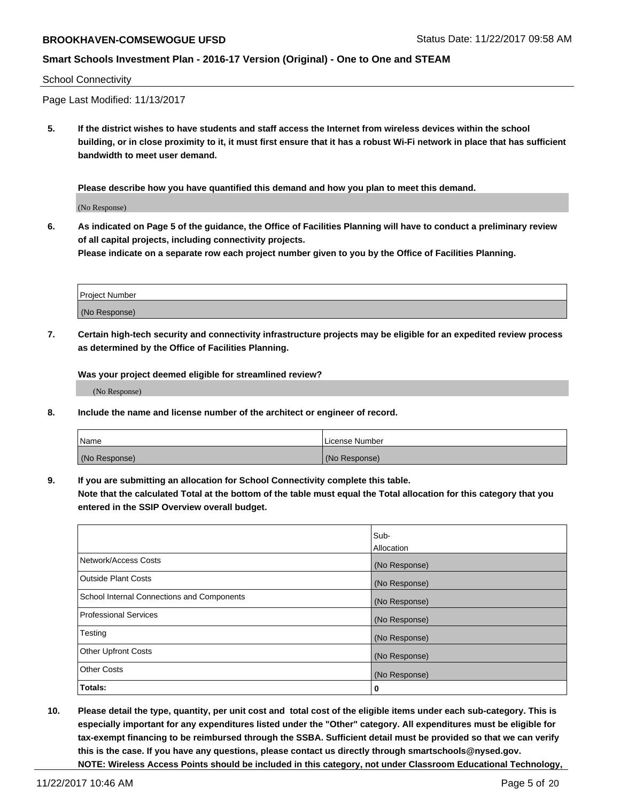#### School Connectivity

Page Last Modified: 11/13/2017

**5. If the district wishes to have students and staff access the Internet from wireless devices within the school building, or in close proximity to it, it must first ensure that it has a robust Wi-Fi network in place that has sufficient bandwidth to meet user demand.**

**Please describe how you have quantified this demand and how you plan to meet this demand.**

(No Response)

**6. As indicated on Page 5 of the guidance, the Office of Facilities Planning will have to conduct a preliminary review of all capital projects, including connectivity projects.**

**Please indicate on a separate row each project number given to you by the Office of Facilities Planning.**

| Project Number |  |
|----------------|--|
|                |  |
| (No Response)  |  |

**7. Certain high-tech security and connectivity infrastructure projects may be eligible for an expedited review process as determined by the Office of Facilities Planning.**

**Was your project deemed eligible for streamlined review?**

(No Response)

**8. Include the name and license number of the architect or engineer of record.**

| <b>Name</b>   | License Number |
|---------------|----------------|
| (No Response) | (No Response)  |

**9. If you are submitting an allocation for School Connectivity complete this table.**

**Note that the calculated Total at the bottom of the table must equal the Total allocation for this category that you entered in the SSIP Overview overall budget.** 

|                                            | Sub-          |
|--------------------------------------------|---------------|
|                                            | Allocation    |
| Network/Access Costs                       | (No Response) |
| <b>Outside Plant Costs</b>                 | (No Response) |
| School Internal Connections and Components | (No Response) |
| <b>Professional Services</b>               | (No Response) |
| Testing                                    | (No Response) |
| <b>Other Upfront Costs</b>                 | (No Response) |
| <b>Other Costs</b>                         | (No Response) |
| Totals:                                    | 0             |

**10. Please detail the type, quantity, per unit cost and total cost of the eligible items under each sub-category. This is especially important for any expenditures listed under the "Other" category. All expenditures must be eligible for tax-exempt financing to be reimbursed through the SSBA. Sufficient detail must be provided so that we can verify this is the case. If you have any questions, please contact us directly through smartschools@nysed.gov. NOTE: Wireless Access Points should be included in this category, not under Classroom Educational Technology,**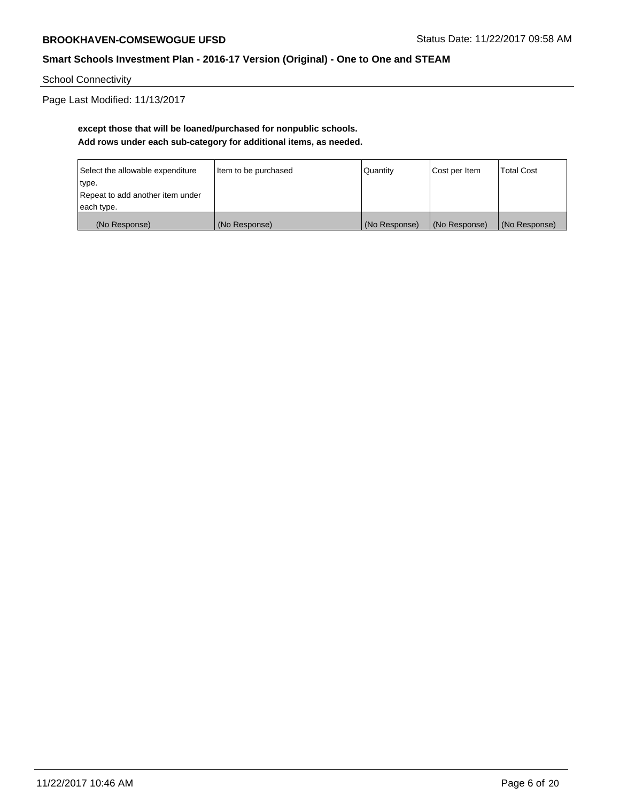School Connectivity

Page Last Modified: 11/13/2017

# **except those that will be loaned/purchased for nonpublic schools. Add rows under each sub-category for additional items, as needed.**

| Select the allowable expenditure | Item to be purchased | Quantity      | Cost per Item | <b>Total Cost</b> |
|----------------------------------|----------------------|---------------|---------------|-------------------|
| type.                            |                      |               |               |                   |
| Repeat to add another item under |                      |               |               |                   |
| each type.                       |                      |               |               |                   |
| (No Response)                    | (No Response)        | (No Response) | (No Response) | (No Response)     |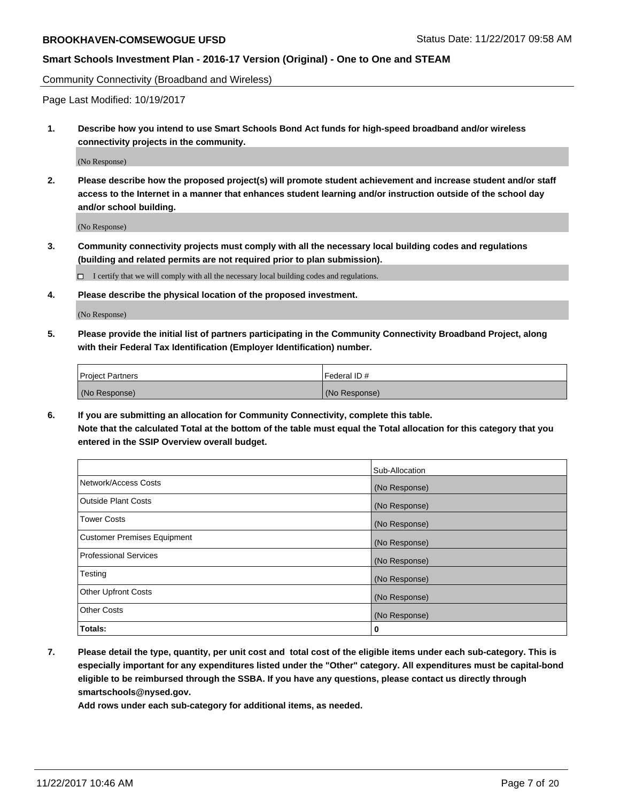Community Connectivity (Broadband and Wireless)

Page Last Modified: 10/19/2017

**1. Describe how you intend to use Smart Schools Bond Act funds for high-speed broadband and/or wireless connectivity projects in the community.**

(No Response)

**2. Please describe how the proposed project(s) will promote student achievement and increase student and/or staff access to the Internet in a manner that enhances student learning and/or instruction outside of the school day and/or school building.**

(No Response)

- **3. Community connectivity projects must comply with all the necessary local building codes and regulations (building and related permits are not required prior to plan submission).**
	- $\Box$  I certify that we will comply with all the necessary local building codes and regulations.
- **4. Please describe the physical location of the proposed investment.**

(No Response)

**5. Please provide the initial list of partners participating in the Community Connectivity Broadband Project, along with their Federal Tax Identification (Employer Identification) number.**

| <b>Project Partners</b> | l Federal ID # |
|-------------------------|----------------|
| (No Response)           | (No Response)  |

**6. If you are submitting an allocation for Community Connectivity, complete this table. Note that the calculated Total at the bottom of the table must equal the Total allocation for this category that you entered in the SSIP Overview overall budget.**

|                                    | Sub-Allocation |
|------------------------------------|----------------|
| Network/Access Costs               | (No Response)  |
| <b>Outside Plant Costs</b>         | (No Response)  |
| <b>Tower Costs</b>                 | (No Response)  |
| <b>Customer Premises Equipment</b> | (No Response)  |
| <b>Professional Services</b>       | (No Response)  |
| Testing                            | (No Response)  |
| <b>Other Upfront Costs</b>         | (No Response)  |
| <b>Other Costs</b>                 | (No Response)  |
| Totals:                            | 0              |

**7. Please detail the type, quantity, per unit cost and total cost of the eligible items under each sub-category. This is especially important for any expenditures listed under the "Other" category. All expenditures must be capital-bond eligible to be reimbursed through the SSBA. If you have any questions, please contact us directly through smartschools@nysed.gov.**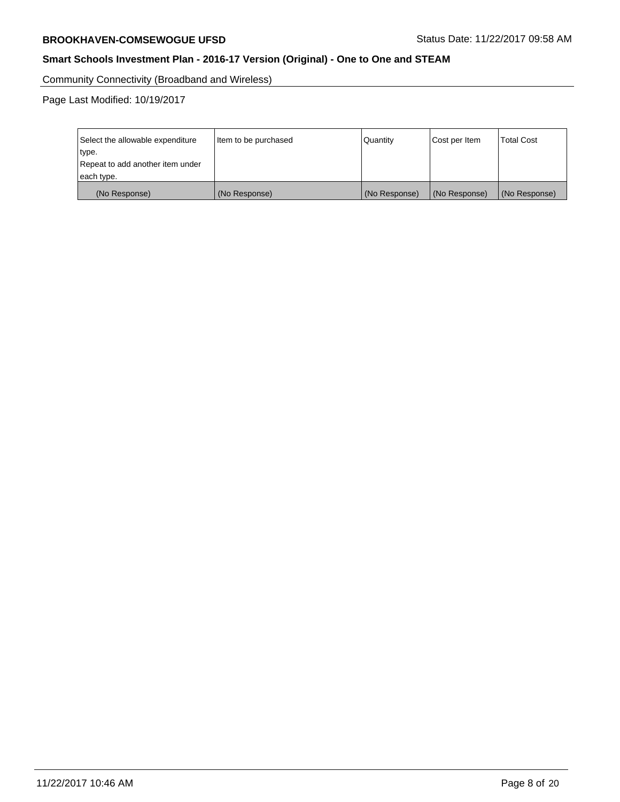Community Connectivity (Broadband and Wireless)

Page Last Modified: 10/19/2017

| Select the allowable expenditure<br>type.<br>Repeat to add another item under<br>each type. | Item to be purchased | Quantity      | Cost per Item | <b>Total Cost</b> |
|---------------------------------------------------------------------------------------------|----------------------|---------------|---------------|-------------------|
| (No Response)                                                                               | (No Response)        | (No Response) | (No Response) | (No Response)     |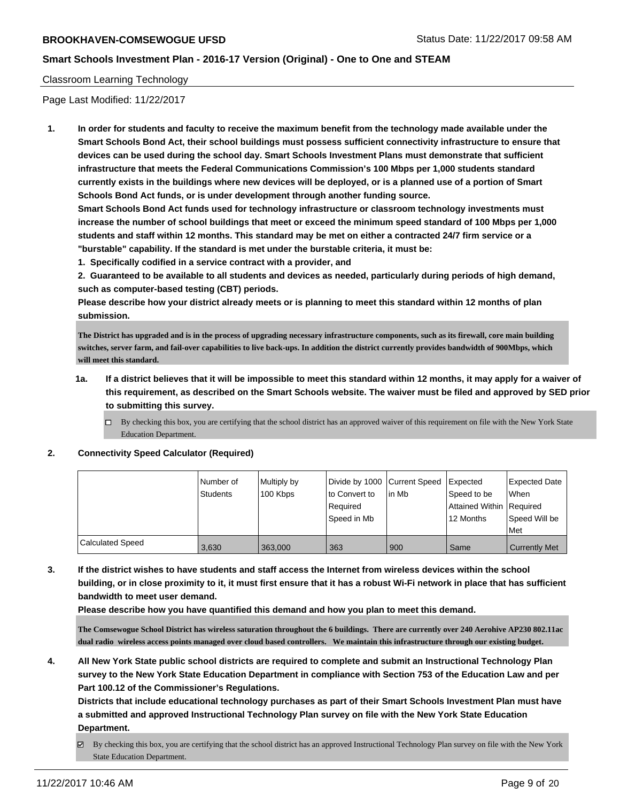#### Classroom Learning Technology

Page Last Modified: 11/22/2017

**1. In order for students and faculty to receive the maximum benefit from the technology made available under the Smart Schools Bond Act, their school buildings must possess sufficient connectivity infrastructure to ensure that devices can be used during the school day. Smart Schools Investment Plans must demonstrate that sufficient infrastructure that meets the Federal Communications Commission's 100 Mbps per 1,000 students standard currently exists in the buildings where new devices will be deployed, or is a planned use of a portion of Smart Schools Bond Act funds, or is under development through another funding source.**

**Smart Schools Bond Act funds used for technology infrastructure or classroom technology investments must increase the number of school buildings that meet or exceed the minimum speed standard of 100 Mbps per 1,000 students and staff within 12 months. This standard may be met on either a contracted 24/7 firm service or a "burstable" capability. If the standard is met under the burstable criteria, it must be:**

**1. Specifically codified in a service contract with a provider, and**

**2. Guaranteed to be available to all students and devices as needed, particularly during periods of high demand, such as computer-based testing (CBT) periods.**

**Please describe how your district already meets or is planning to meet this standard within 12 months of plan submission.**

**The District has upgraded and is in the process of upgrading necessary infrastructure components, such as its firewall, core main building switches, server farm, and fail-over capabilities to live back-ups. In addition the district currently provides bandwidth of 900Mbps, which will meet this standard.**

- **1a. If a district believes that it will be impossible to meet this standard within 12 months, it may apply for a waiver of this requirement, as described on the Smart Schools website. The waiver must be filed and approved by SED prior to submitting this survey.**
	- $\Box$  By checking this box, you are certifying that the school district has an approved waiver of this requirement on file with the New York State Education Department.

#### **2. Connectivity Speed Calculator (Required)**

|                         | l Number of | Multiply by |               | Divide by 1000 Current Speed Expected |                          | Expected Date        |
|-------------------------|-------------|-------------|---------------|---------------------------------------|--------------------------|----------------------|
|                         | Students    | 100 Kbps    | to Convert to | lin Mb                                | Speed to be              | When                 |
|                         |             |             | Reauired      |                                       | Attained Within Required |                      |
|                         |             |             | Speed in Mb   |                                       | 12 Months                | Speed Will be        |
|                         |             |             |               |                                       |                          | Met                  |
| <b>Calculated Speed</b> | 3.630       | 363,000     | 363           | 900                                   | Same                     | <b>Currently Met</b> |

**3. If the district wishes to have students and staff access the Internet from wireless devices within the school building, or in close proximity to it, it must first ensure that it has a robust Wi-Fi network in place that has sufficient bandwidth to meet user demand.**

**Please describe how you have quantified this demand and how you plan to meet this demand.**

**The Comsewogue School District has wireless saturation throughout the 6 buildings. There are currently over 240 Aerohive AP230 802.11ac dual radio wireless access points managed over cloud based controllers. We maintain this infrastructure through our existing budget.**

**4. All New York State public school districts are required to complete and submit an Instructional Technology Plan survey to the New York State Education Department in compliance with Section 753 of the Education Law and per Part 100.12 of the Commissioner's Regulations.**

**Districts that include educational technology purchases as part of their Smart Schools Investment Plan must have a submitted and approved Instructional Technology Plan survey on file with the New York State Education Department.**

By checking this box, you are certifying that the school district has an approved Instructional Technology Plan survey on file with the New York State Education Department.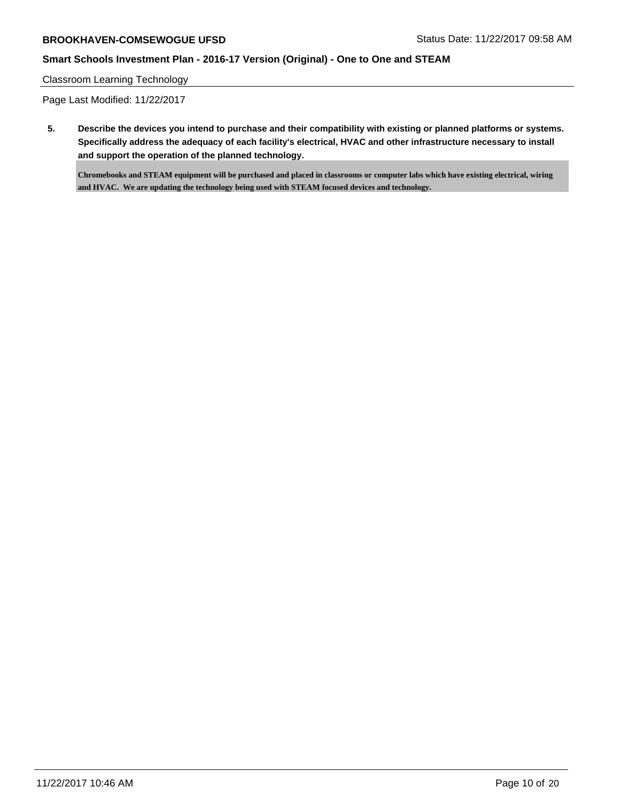## **Smart Schools Investment Plan - 2016-17 Version (Original) - One to One and STEAM**

#### Classroom Learning Technology

Page Last Modified: 11/22/2017

**5. Describe the devices you intend to purchase and their compatibility with existing or planned platforms or systems. Specifically address the adequacy of each facility's electrical, HVAC and other infrastructure necessary to install and support the operation of the planned technology.**

**Chromebooks and STEAM equipment will be purchased and placed in classrooms or computer labs which have existing electrical, wiring and HVAC. We are updating the technology being used with STEAM focused devices and technology.**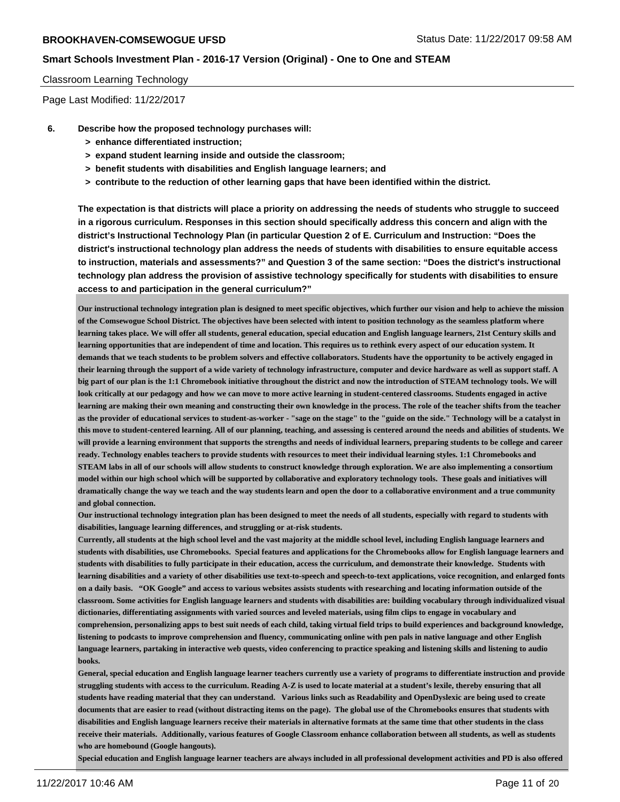#### Classroom Learning Technology

Page Last Modified: 11/22/2017

- **6. Describe how the proposed technology purchases will:**
	- **> enhance differentiated instruction;**
	- **> expand student learning inside and outside the classroom;**
	- **> benefit students with disabilities and English language learners; and**
	- **> contribute to the reduction of other learning gaps that have been identified within the district.**

**The expectation is that districts will place a priority on addressing the needs of students who struggle to succeed in a rigorous curriculum. Responses in this section should specifically address this concern and align with the district's Instructional Technology Plan (in particular Question 2 of E. Curriculum and Instruction: "Does the district's instructional technology plan address the needs of students with disabilities to ensure equitable access to instruction, materials and assessments?" and Question 3 of the same section: "Does the district's instructional technology plan address the provision of assistive technology specifically for students with disabilities to ensure access to and participation in the general curriculum?"**

**Our instructional technology integration plan is designed to meet specific objectives, which further our vision and help to achieve the mission of the Comsewogue School District. The objectives have been selected with intent to position technology as the seamless platform where learning takes place. We will offer all students, general education, special education and English language learners, 21st Century skills and learning opportunities that are independent of time and location. This requires us to rethink every aspect of our education system. It demands that we teach students to be problem solvers and effective collaborators. Students have the opportunity to be actively engaged in their learning through the support of a wide variety of technology infrastructure, computer and device hardware as well as support staff. A big part of our plan is the 1:1 Chromebook initiative throughout the district and now the introduction of STEAM technology tools. We will look critically at our pedagogy and how we can move to more active learning in student-centered classrooms. Students engaged in active learning are making their own meaning and constructing their own knowledge in the process. The role of the teacher shifts from the teacher as the provider of educational services to student-as-worker - "sage on the stage" to the "guide on the side." Technology will be a catalyst in this move to student-centered learning. All of our planning, teaching, and assessing is centered around the needs and abilities of students. We will provide a learning environment that supports the strengths and needs of individual learners, preparing students to be college and career ready. Technology enables teachers to provide students with resources to meet their individual learning styles. 1:1 Chromebooks and STEAM labs in all of our schools will allow students to construct knowledge through exploration. We are also implementing a consortium model within our high school which will be supported by collaborative and exploratory technology tools. These goals and initiatives will dramatically change the way we teach and the way students learn and open the door to a collaborative environment and a true community and global connection.** 

**Our instructional technology integration plan has been designed to meet the needs of all students, especially with regard to students with disabilities, language learning differences, and struggling or at-risk students.** 

**Currently, all students at the high school level and the vast majority at the middle school level, including English language learners and students with disabilities, use Chromebooks. Special features and applications for the Chromebooks allow for English language learners and students with disabilities to fully participate in their education, access the curriculum, and demonstrate their knowledge. Students with learning disabilities and a variety of other disabilities use text-to-speech and speech-to-text applications, voice recognition, and enlarged fonts on a daily basis. "OK Google" and access to various websites assists students with researching and locating information outside of the classroom. Some activities for English language learners and students with disabilities are: building vocabulary through individualized visual dictionaries, differentiating assignments with varied sources and leveled materials, using film clips to engage in vocabulary and comprehension, personalizing apps to best suit needs of each child, taking virtual field trips to build experiences and background knowledge, listening to podcasts to improve comprehension and fluency, communicating online with pen pals in native language and other English language learners, partaking in interactive web quests, video conferencing to practice speaking and listening skills and listening to audio books.**

**General, special education and English language learner teachers currently use a variety of programs to differentiate instruction and provide struggling students with access to the curriculum. Reading A-Z is used to locate material at a student's lexile, thereby ensuring that all students have reading material that they can understand. Various links such as Readability and OpenDyslexic are being used to create documents that are easier to read (without distracting items on the page). The global use of the Chromebooks ensures that students with disabilities and English language learners receive their materials in alternative formats at the same time that other students in the class receive their materials. Additionally, various features of Google Classroom enhance collaboration between all students, as well as students who are homebound (Google hangouts).**

**Special education and English language learner teachers are always included in all professional development activities and PD is also offered**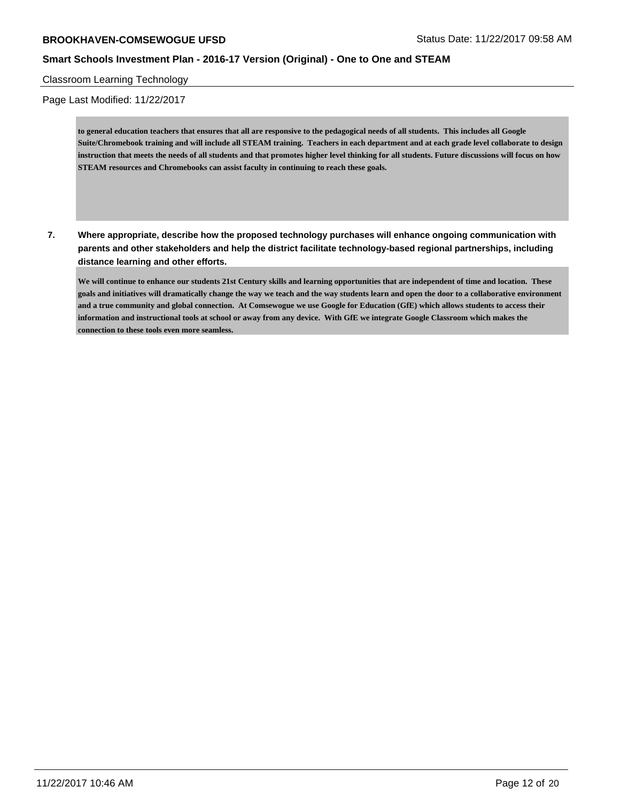Classroom Learning Technology

Page Last Modified: 11/22/2017

**to general education teachers that ensures that all are responsive to the pedagogical needs of all students. This includes all Google Suite/Chromebook training and will include all STEAM training. Teachers in each department and at each grade level collaborate to design instruction that meets the needs of all students and that promotes higher level thinking for all students. Future discussions will focus on how STEAM resources and Chromebooks can assist faculty in continuing to reach these goals.**

**7. Where appropriate, describe how the proposed technology purchases will enhance ongoing communication with parents and other stakeholders and help the district facilitate technology-based regional partnerships, including distance learning and other efforts.**

**We will continue to enhance our students 21st Century skills and learning opportunities that are independent of time and location. These goals and initiatives will dramatically change the way we teach and the way students learn and open the door to a collaborative environment and a true community and global connection. At Comsewogue we use Google for Education (GfE) which allows students to access their information and instructional tools at school or away from any device. With GfE we integrate Google Classroom which makes the connection to these tools even more seamless.**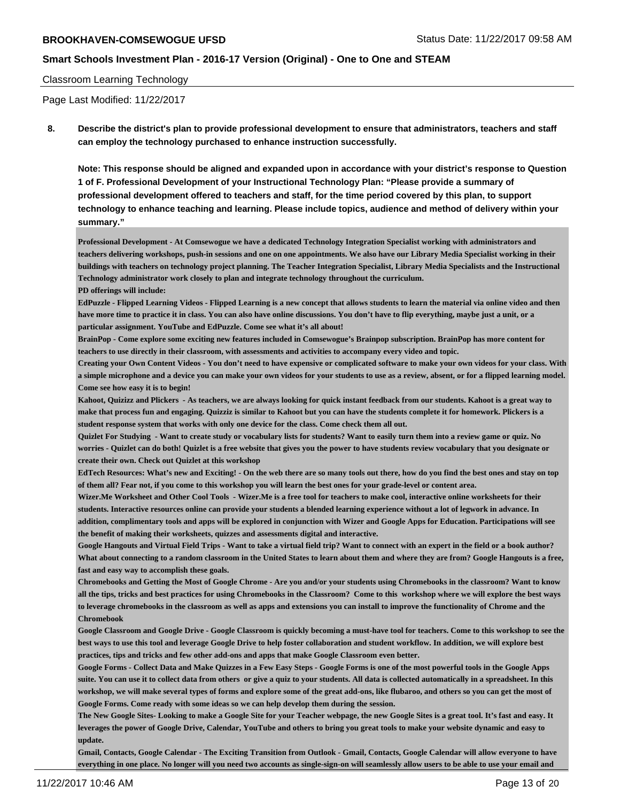#### Classroom Learning Technology

Page Last Modified: 11/22/2017

**8. Describe the district's plan to provide professional development to ensure that administrators, teachers and staff can employ the technology purchased to enhance instruction successfully.**

**Note: This response should be aligned and expanded upon in accordance with your district's response to Question 1 of F. Professional Development of your Instructional Technology Plan: "Please provide a summary of professional development offered to teachers and staff, for the time period covered by this plan, to support technology to enhance teaching and learning. Please include topics, audience and method of delivery within your summary."**

**Professional Development - At Comsewogue we have a dedicated Technology Integration Specialist working with administrators and teachers delivering workshops, push-in sessions and one on one appointments. We also have our Library Media Specialist working in their buildings with teachers on technology project planning. The Teacher Integration Specialist, Library Media Specialists and the Instructional Technology administrator work closely to plan and integrate technology throughout the curriculum.**

**PD offerings will include:**

**EdPuzzle - Flipped Learning Videos - Flipped Learning is a new concept that allows students to learn the material via online video and then have more time to practice it in class. You can also have online discussions. You don't have to flip everything, maybe just a unit, or a particular assignment. YouTube and EdPuzzle. Come see what it's all about!**

**BrainPop - Come explore some exciting new features included in Comsewogue's Brainpop subscription. BrainPop has more content for teachers to use directly in their classroom, with assessments and activities to accompany every video and topic.**

**Creating your Own Content Videos - You don't need to have expensive or complicated software to make your own videos for your class. With a simple microphone and a device you can make your own videos for your students to use as a review, absent, or for a flipped learning model. Come see how easy it is to begin!** 

**Kahoot, Quizizz and Plickers - As teachers, we are always looking for quick instant feedback from our students. Kahoot is a great way to make that process fun and engaging. Quizziz is similar to Kahoot but you can have the students complete it for homework. Plickers is a student response system that works with only one device for the class. Come check them all out.**

**Quizlet For Studying - Want to create study or vocabulary lists for students? Want to easily turn them into a review game or quiz. No worries - Quizlet can do both! Quizlet is a free website that gives you the power to have students review vocabulary that you designate or create their own. Check out Quizlet at this workshop**

**EdTech Resources: What's new and Exciting! - On the web there are so many tools out there, how do you find the best ones and stay on top of them all? Fear not, if you come to this workshop you will learn the best ones for your grade-level or content area.**

**Wizer.Me Worksheet and Other Cool Tools - Wizer.Me is a free tool for teachers to make cool, interactive online worksheets for their students. Interactive resources online can provide your students a blended learning experience without a lot of legwork in advance. In addition, complimentary tools and apps will be explored in conjunction with Wizer and Google Apps for Education. Participations will see the benefit of making their worksheets, quizzes and assessments digital and interactive.**

**Google Hangouts and Virtual Field Trips - Want to take a virtual field trip? Want to connect with an expert in the field or a book author? What about connecting to a random classroom in the United States to learn about them and where they are from? Google Hangouts is a free, fast and easy way to accomplish these goals.**

**Chromebooks and Getting the Most of Google Chrome - Are you and/or your students using Chromebooks in the classroom? Want to know all the tips, tricks and best practices for using Chromebooks in the Classroom? Come to this workshop where we will explore the best ways to leverage chromebooks in the classroom as well as apps and extensions you can install to improve the functionality of Chrome and the Chromebook**

**Google Classroom and Google Drive - Google Classroom is quickly becoming a must-have tool for teachers. Come to this workshop to see the best ways to use this tool and leverage Google Drive to help foster collaboration and student workflow. In addition, we will explore best practices, tips and tricks and few other add-ons and apps that make Google Classroom even better.**

**Google Forms - Collect Data and Make Quizzes in a Few Easy Steps - Google Forms is one of the most powerful tools in the Google Apps suite. You can use it to collect data from others or give a quiz to your students. All data is collected automatically in a spreadsheet. In this workshop, we will make several types of forms and explore some of the great add-ons, like flubaroo, and others so you can get the most of Google Forms. Come ready with some ideas so we can help develop them during the session.** 

**The New Google Sites- Looking to make a Google Site for your Teacher webpage, the new Google Sites is a great tool. It's fast and easy. It leverages the power of Google Drive, Calendar, YouTube and others to bring you great tools to make your website dynamic and easy to update.**

**Gmail, Contacts, Google Calendar - The Exciting Transition from Outlook - Gmail, Contacts, Google Calendar will allow everyone to have everything in one place. No longer will you need two accounts as single-sign-on will seamlessly allow users to be able to use your email and**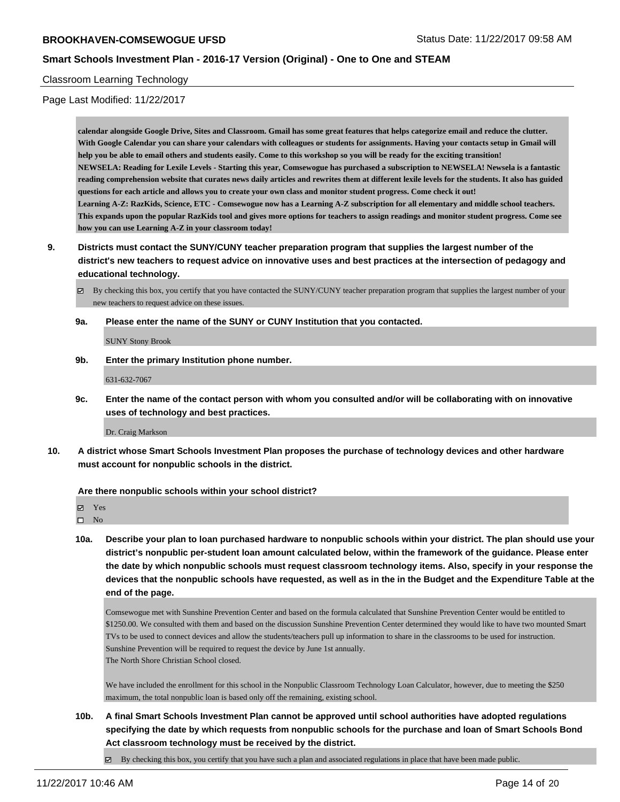#### Classroom Learning Technology

Page Last Modified: 11/22/2017

**calendar alongside Google Drive, Sites and Classroom. Gmail has some great features that helps categorize email and reduce the clutter. With Google Calendar you can share your calendars with colleagues or students for assignments. Having your contacts setup in Gmail will help you be able to email others and students easily. Come to this workshop so you will be ready for the exciting transition! NEWSELA: Reading for Lexile Levels - Starting this year, Comsewogue has purchased a subscription to NEWSELA! Newsela is a fantastic reading comprehension website that curates news daily articles and rewrites them at different lexile levels for the students. It also has guided questions for each article and allows you to create your own class and monitor student progress. Come check it out! Learning A-Z: RazKids, Science, ETC - Comsewogue now has a Learning A-Z subscription for all elementary and middle school teachers. This expands upon the popular RazKids tool and gives more options for teachers to assign readings and monitor student progress. Come see how you can use Learning A-Z in your classroom today!**

**9. Districts must contact the SUNY/CUNY teacher preparation program that supplies the largest number of the district's new teachers to request advice on innovative uses and best practices at the intersection of pedagogy and educational technology.**

By checking this box, you certify that you have contacted the SUNY/CUNY teacher preparation program that supplies the largest number of your new teachers to request advice on these issues.

**9a. Please enter the name of the SUNY or CUNY Institution that you contacted.**

SUNY Stony Brook

**9b. Enter the primary Institution phone number.**

631-632-7067

**9c. Enter the name of the contact person with whom you consulted and/or will be collaborating with on innovative uses of technology and best practices.**

Dr. Craig Markson

**10. A district whose Smart Schools Investment Plan proposes the purchase of technology devices and other hardware must account for nonpublic schools in the district.**

**Are there nonpublic schools within your school district?**

Yes

 $\square$  No

**10a. Describe your plan to loan purchased hardware to nonpublic schools within your district. The plan should use your district's nonpublic per-student loan amount calculated below, within the framework of the guidance. Please enter the date by which nonpublic schools must request classroom technology items. Also, specify in your response the devices that the nonpublic schools have requested, as well as in the in the Budget and the Expenditure Table at the end of the page.**

Comsewogue met with Sunshine Prevention Center and based on the formula calculated that Sunshine Prevention Center would be entitled to \$1250.00. We consulted with them and based on the discussion Sunshine Prevention Center determined they would like to have two mounted Smart TVs to be used to connect devices and allow the students/teachers pull up information to share in the classrooms to be used for instruction. Sunshine Prevention will be required to request the device by June 1st annually. The North Shore Christian School closed.

We have included the enrollment for this school in the Nonpublic Classroom Technology Loan Calculator, however, due to meeting the \$250 maximum, the total nonpublic loan is based only off the remaining, existing school.

**10b. A final Smart Schools Investment Plan cannot be approved until school authorities have adopted regulations specifying the date by which requests from nonpublic schools for the purchase and loan of Smart Schools Bond Act classroom technology must be received by the district.**

 $\boxtimes$  By checking this box, you certify that you have such a plan and associated regulations in place that have been made public.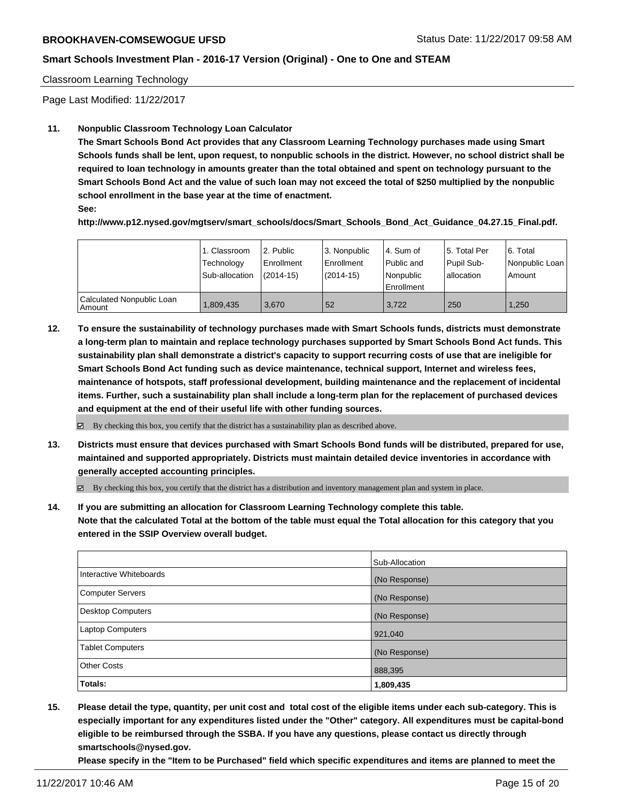#### Classroom Learning Technology

Page Last Modified: 11/22/2017

#### **11. Nonpublic Classroom Technology Loan Calculator**

**The Smart Schools Bond Act provides that any Classroom Learning Technology purchases made using Smart Schools funds shall be lent, upon request, to nonpublic schools in the district. However, no school district shall be required to loan technology in amounts greater than the total obtained and spent on technology pursuant to the Smart Schools Bond Act and the value of such loan may not exceed the total of \$250 multiplied by the nonpublic school enrollment in the base year at the time of enactment.**

**See:**

**http://www.p12.nysed.gov/mgtserv/smart\_schools/docs/Smart\_Schools\_Bond\_Act\_Guidance\_04.27.15\_Final.pdf.**

|                                       | 1. Classroom<br>Technology<br>Sub-allocation | 12. Public<br>l Enrollment<br>$(2014-15)$ | l 3. Nonpublic<br>Enrollment<br>(2014-15) | l 4. Sum of<br>Public and<br>Nonpublic<br>Enrollment | 15. Total Per<br>Pupil Sub-<br>I allocation | 6. Total<br>  Nonpublic Loan  <br>Amount |
|---------------------------------------|----------------------------------------------|-------------------------------------------|-------------------------------------------|------------------------------------------------------|---------------------------------------------|------------------------------------------|
| Calculated Nonpublic Loan<br>l Amount | 809,435                                      | 3.670                                     | 52                                        | 3.722                                                | 250                                         | 1.250                                    |

**12. To ensure the sustainability of technology purchases made with Smart Schools funds, districts must demonstrate a long-term plan to maintain and replace technology purchases supported by Smart Schools Bond Act funds. This sustainability plan shall demonstrate a district's capacity to support recurring costs of use that are ineligible for Smart Schools Bond Act funding such as device maintenance, technical support, Internet and wireless fees, maintenance of hotspots, staff professional development, building maintenance and the replacement of incidental items. Further, such a sustainability plan shall include a long-term plan for the replacement of purchased devices and equipment at the end of their useful life with other funding sources.**

 $\boxtimes$  By checking this box, you certify that the district has a sustainability plan as described above.

**13. Districts must ensure that devices purchased with Smart Schools Bond funds will be distributed, prepared for use, maintained and supported appropriately. Districts must maintain detailed device inventories in accordance with generally accepted accounting principles.**

By checking this box, you certify that the district has a distribution and inventory management plan and system in place.

**14. If you are submitting an allocation for Classroom Learning Technology complete this table. Note that the calculated Total at the bottom of the table must equal the Total allocation for this category that you entered in the SSIP Overview overall budget.**

|                          | Sub-Allocation |
|--------------------------|----------------|
| Interactive Whiteboards  | (No Response)  |
| <b>Computer Servers</b>  | (No Response)  |
| <b>Desktop Computers</b> | (No Response)  |
| <b>Laptop Computers</b>  | 921,040        |
| <b>Tablet Computers</b>  | (No Response)  |
| <b>Other Costs</b>       | 888,395        |
| Totals:                  | 1,809,435      |

**15. Please detail the type, quantity, per unit cost and total cost of the eligible items under each sub-category. This is especially important for any expenditures listed under the "Other" category. All expenditures must be capital-bond eligible to be reimbursed through the SSBA. If you have any questions, please contact us directly through smartschools@nysed.gov.**

**Please specify in the "Item to be Purchased" field which specific expenditures and items are planned to meet the**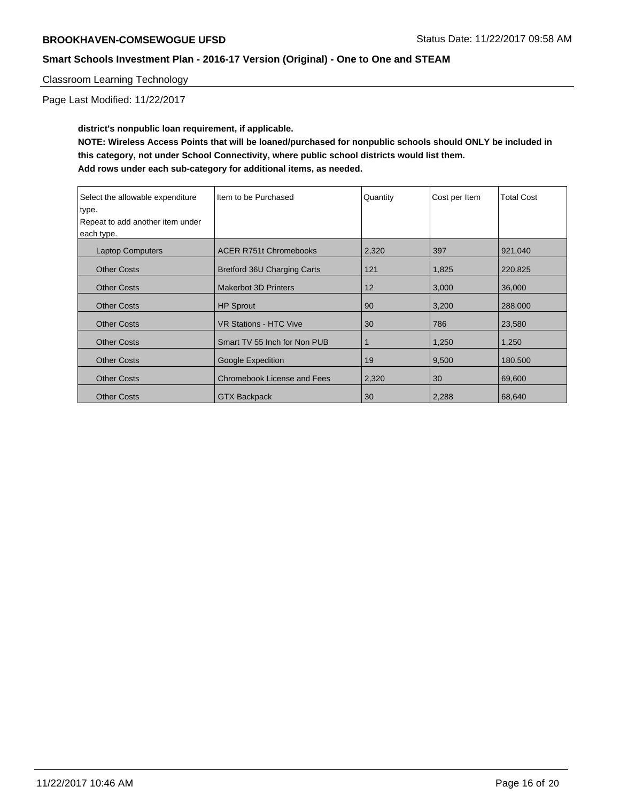## Classroom Learning Technology

Page Last Modified: 11/22/2017

**district's nonpublic loan requirement, if applicable. NOTE: Wireless Access Points that will be loaned/purchased for nonpublic schools should ONLY be included in this category, not under School Connectivity, where public school districts would list them. Add rows under each sub-category for additional items, as needed.**

| Select the allowable expenditure | Item to be Purchased               | Quantity | Cost per Item | <b>Total Cost</b> |
|----------------------------------|------------------------------------|----------|---------------|-------------------|
| type.                            |                                    |          |               |                   |
| Repeat to add another item under |                                    |          |               |                   |
| each type.                       |                                    |          |               |                   |
| <b>Laptop Computers</b>          | <b>ACER R751t Chromebooks</b>      | 2,320    | 397           | 921,040           |
| <b>Other Costs</b>               | Bretford 36U Charging Carts        | 121      | 1,825         | 220,825           |
| <b>Other Costs</b>               | <b>Makerbot 3D Printers</b>        | 12       | 3,000         | 36,000            |
| <b>Other Costs</b>               | <b>HP Sprout</b>                   | 90       | 3,200         | 288,000           |
| <b>Other Costs</b>               | <b>VR Stations - HTC Vive</b>      | 30       | 786           | 23,580            |
| <b>Other Costs</b>               | Smart TV 55 Inch for Non PUB       | 1        | 1,250         | 1,250             |
| <b>Other Costs</b>               | Google Expedition                  | 19       | 9,500         | 180,500           |
| <b>Other Costs</b>               | <b>Chromebook License and Fees</b> | 2,320    | 30            | 69,600            |
| <b>Other Costs</b>               | <b>GTX Backpack</b>                | 30       | 2,288         | 68,640            |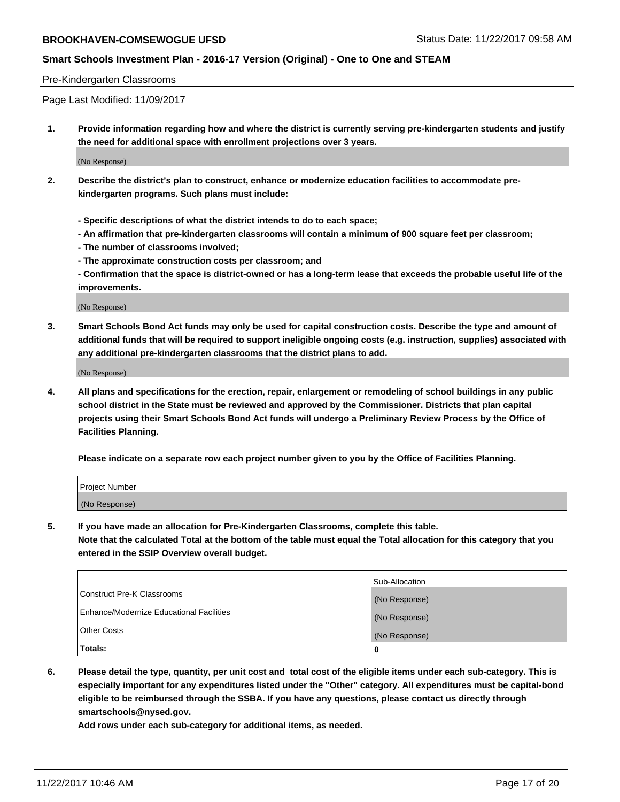#### Pre-Kindergarten Classrooms

Page Last Modified: 11/09/2017

**1. Provide information regarding how and where the district is currently serving pre-kindergarten students and justify the need for additional space with enrollment projections over 3 years.**

(No Response)

- **2. Describe the district's plan to construct, enhance or modernize education facilities to accommodate prekindergarten programs. Such plans must include:**
	- **Specific descriptions of what the district intends to do to each space;**
	- **An affirmation that pre-kindergarten classrooms will contain a minimum of 900 square feet per classroom;**
	- **The number of classrooms involved;**
	- **The approximate construction costs per classroom; and**

**- Confirmation that the space is district-owned or has a long-term lease that exceeds the probable useful life of the improvements.**

(No Response)

**3. Smart Schools Bond Act funds may only be used for capital construction costs. Describe the type and amount of additional funds that will be required to support ineligible ongoing costs (e.g. instruction, supplies) associated with any additional pre-kindergarten classrooms that the district plans to add.**

(No Response)

**4. All plans and specifications for the erection, repair, enlargement or remodeling of school buildings in any public school district in the State must be reviewed and approved by the Commissioner. Districts that plan capital projects using their Smart Schools Bond Act funds will undergo a Preliminary Review Process by the Office of Facilities Planning.**

**Please indicate on a separate row each project number given to you by the Office of Facilities Planning.**

| Project Number |  |
|----------------|--|
| (No Response)  |  |

**5. If you have made an allocation for Pre-Kindergarten Classrooms, complete this table.**

**Note that the calculated Total at the bottom of the table must equal the Total allocation for this category that you entered in the SSIP Overview overall budget.**

|                                          | Sub-Allocation |
|------------------------------------------|----------------|
| Construct Pre-K Classrooms               | (No Response)  |
| Enhance/Modernize Educational Facilities | (No Response)  |
| <b>Other Costs</b>                       | (No Response)  |
| <b>Totals:</b>                           | 0              |

**6. Please detail the type, quantity, per unit cost and total cost of the eligible items under each sub-category. This is especially important for any expenditures listed under the "Other" category. All expenditures must be capital-bond eligible to be reimbursed through the SSBA. If you have any questions, please contact us directly through smartschools@nysed.gov.**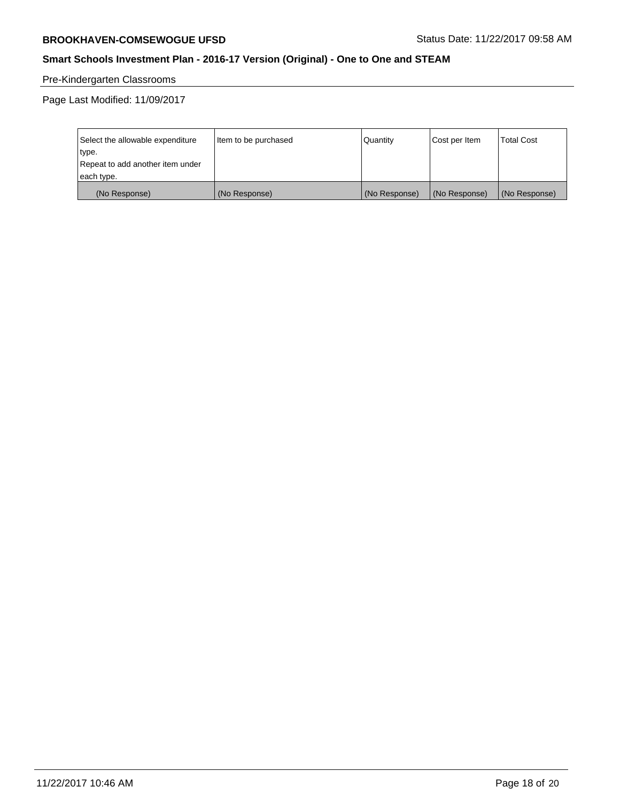# Pre-Kindergarten Classrooms

Page Last Modified: 11/09/2017

| Select the allowable expenditure<br>type.<br>Repeat to add another item under | Item to be purchased | Quantity      | Cost per Item | <b>Total Cost</b> |
|-------------------------------------------------------------------------------|----------------------|---------------|---------------|-------------------|
| each type.                                                                    |                      |               |               |                   |
| (No Response)                                                                 | (No Response)        | (No Response) | (No Response) | (No Response)     |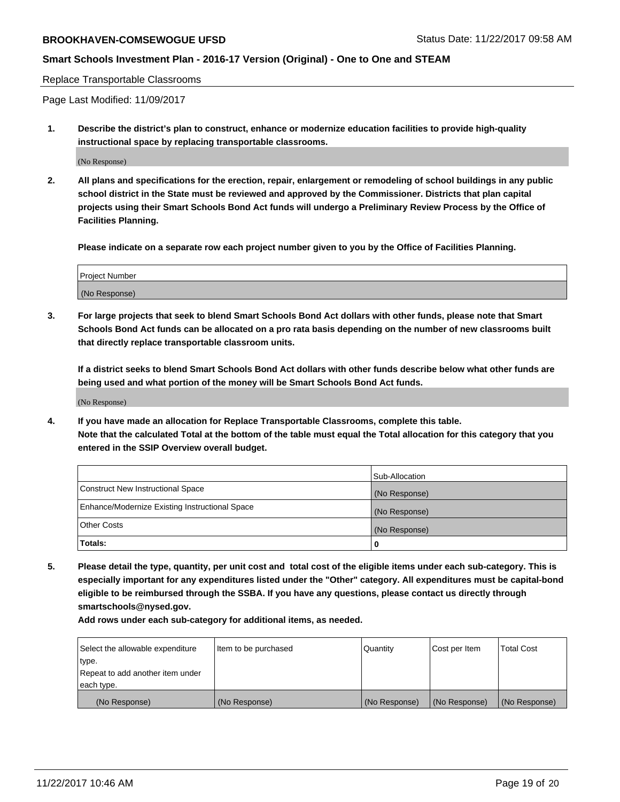#### **Smart Schools Investment Plan - 2016-17 Version (Original) - One to One and STEAM**

#### Replace Transportable Classrooms

Page Last Modified: 11/09/2017

**1. Describe the district's plan to construct, enhance or modernize education facilities to provide high-quality instructional space by replacing transportable classrooms.**

(No Response)

**2. All plans and specifications for the erection, repair, enlargement or remodeling of school buildings in any public school district in the State must be reviewed and approved by the Commissioner. Districts that plan capital projects using their Smart Schools Bond Act funds will undergo a Preliminary Review Process by the Office of Facilities Planning.**

**Please indicate on a separate row each project number given to you by the Office of Facilities Planning.**

| <b>Project Number</b> |  |
|-----------------------|--|
| (No Response)         |  |

**3. For large projects that seek to blend Smart Schools Bond Act dollars with other funds, please note that Smart Schools Bond Act funds can be allocated on a pro rata basis depending on the number of new classrooms built that directly replace transportable classroom units.**

**If a district seeks to blend Smart Schools Bond Act dollars with other funds describe below what other funds are being used and what portion of the money will be Smart Schools Bond Act funds.**

(No Response)

**4. If you have made an allocation for Replace Transportable Classrooms, complete this table. Note that the calculated Total at the bottom of the table must equal the Total allocation for this category that you entered in the SSIP Overview overall budget.**

|                                                | Sub-Allocation |
|------------------------------------------------|----------------|
| Construct New Instructional Space              | (No Response)  |
| Enhance/Modernize Existing Instructional Space | (No Response)  |
| <b>Other Costs</b>                             | (No Response)  |
| Totals:                                        | 0              |

**5. Please detail the type, quantity, per unit cost and total cost of the eligible items under each sub-category. This is especially important for any expenditures listed under the "Other" category. All expenditures must be capital-bond eligible to be reimbursed through the SSBA. If you have any questions, please contact us directly through smartschools@nysed.gov.**

| Select the allowable expenditure<br>type.<br>Repeat to add another item under<br>each type. | Item to be purchased | Quantity      | Cost per Item | <b>Total Cost</b> |
|---------------------------------------------------------------------------------------------|----------------------|---------------|---------------|-------------------|
|                                                                                             |                      |               |               |                   |
| (No Response)                                                                               | (No Response)        | (No Response) | (No Response) | (No Response)     |